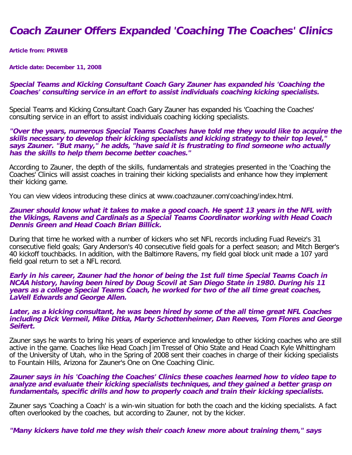# **Coach Zauner Offers Expanded 'Coaching The Coaches' Clinics**

**Article from: PRWEB**

**Article date: December 11, 2008**

### **Special Teams and Kicking Consultant Coach Gary Zauner has expanded his 'Coaching the Coaches' consulting service in an effort to assist individuals coaching kicking specialists.**

Special Teams and Kicking Consultant Coach Gary Zauner has expanded his 'Coaching the Coaches' consulting service in an effort to assist individuals coaching kicking specialists.

**"Over the years, numerous Special Teams Coaches have told me they would like to acquire the skills necessary to develop their kicking specialists and kicking strategy to their top level," says Zauner. "But many," he adds, "have said it is frustrating to find someone who actually has the skills to help them become better coaches."**

According to Zauner, the depth of the skills, fundamentals and strategies presented in the 'Coaching the Coaches' Clinics will assist coaches in training their kicking specialists and enhance how they implement their kicking game.

You can view videos introducing these clinics at www.coachzauner.com/coaching/index.html.

#### **Zauner should know what it takes to make a good coach. He spent 13 years in the NFL with the Vikings, Ravens and Cardinals as a Special Teams Coordinator working with Head Coach Dennis Green and Head Coach Brian Billick.**

During that time he worked with a number of kickers who set NFL records including Fuad Reveiz's 31 consecutive field goals; Gary Anderson's 40 consecutive field goals for a perfect season; and Mitch Berger's 40 kickoff touchbacks. In addition, with the Baltimore Ravens, my field goal block unit made a 107 yard field goal return to set a NFL record.

**Early in his career, Zauner had the honor of being the 1st full time Special Teams Coach in NCAA history, having been hired by Doug Scovil at San Diego State in 1980. During his 11 years as a college Special Teams Coach, he worked for two of the all time great coaches, LaVell Edwards and George Allen.**

#### **Later, as a kicking consultant, he was been hired by some of the all time great NFL Coaches including Dick Vermeil, Mike Ditka, Marty Schottenheimer, Dan Reeves, Tom Flores and George Seifert.**

Zauner says he wants to bring his years of experience and knowledge to other kicking coaches who are still active in the game. Coaches like Head Coach Jim Tressel of Ohio State and Head Coach Kyle Whittingham of the University of Utah, who in the Spring of 2008 sent their coaches in charge of their kicking specialists to Fountain Hills, Arizona for Zauner's One on One Coaching Clinic.

#### **Zauner says in his 'Coaching the Coaches' Clinics these coaches learned how to video tape to analyze and evaluate their kicking specialists techniques, and they gained a better grasp on fundamentals, specific drills and how to properly coach and train their kicking specialists.**

Zauner says 'Coaching a Coach' is a win-win situation for both the coach and the kicking specialists. A fact often overlooked by the coaches, but according to Zauner, not by the kicker.

**"Many kickers have told me they wish their coach knew more about training them," says**